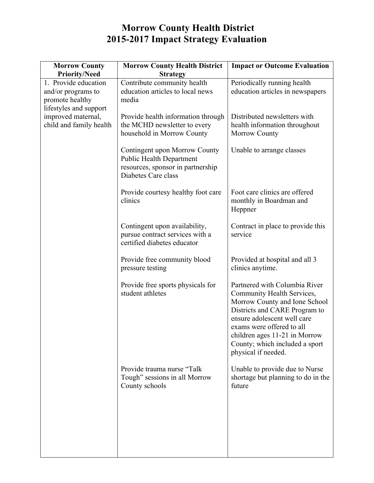## **Morrow County Health District 2015-2017 Impact Strategy Evaluation**

| <b>Morrow County</b><br><b>Priority/Need</b>                                                                                             | <b>Morrow County Health District</b><br><b>Strategy</b>                                                                      | <b>Impact or Outcome Evaluation</b>                                                                                                                                                                                                                                                 |
|------------------------------------------------------------------------------------------------------------------------------------------|------------------------------------------------------------------------------------------------------------------------------|-------------------------------------------------------------------------------------------------------------------------------------------------------------------------------------------------------------------------------------------------------------------------------------|
| 1. Provide education<br>and/or programs to<br>promote healthy<br>lifestyles and support<br>improved maternal,<br>child and family health | Contribute community health<br>education articles to local news<br>media                                                     | Periodically running health<br>education articles in newspapers                                                                                                                                                                                                                     |
|                                                                                                                                          | Provide health information through<br>the MCHD newsletter to every<br>household in Morrow County                             | Distributed newsletters with<br>health information throughout<br><b>Morrow County</b>                                                                                                                                                                                               |
|                                                                                                                                          | Contingent upon Morrow County<br><b>Public Health Department</b><br>resources, sponsor in partnership<br>Diabetes Care class | Unable to arrange classes                                                                                                                                                                                                                                                           |
|                                                                                                                                          | Provide courtesy healthy foot care<br>clinics                                                                                | Foot care clinics are offered<br>monthly in Boardman and<br>Heppner                                                                                                                                                                                                                 |
|                                                                                                                                          | Contingent upon availability,<br>pursue contract services with a<br>certified diabetes educator                              | Contract in place to provide this<br>service                                                                                                                                                                                                                                        |
|                                                                                                                                          | Provide free community blood<br>pressure testing                                                                             | Provided at hospital and all 3<br>clinics anytime.                                                                                                                                                                                                                                  |
|                                                                                                                                          | Provide free sports physicals for<br>student athletes                                                                        | Partnered with Columbia River<br>Community Health Services,<br>Morrow County and Ione School<br>Districts and CARE Program to<br>ensure adolescent well care<br>exams were offered to all<br>children ages 11-21 in Morrow<br>County; which included a sport<br>physical if needed. |
|                                                                                                                                          | Provide trauma nurse "Talk<br>Tough" sessions in all Morrow<br>County schools                                                | Unable to provide due to Nurse<br>shortage but planning to do in the<br>future                                                                                                                                                                                                      |
|                                                                                                                                          |                                                                                                                              |                                                                                                                                                                                                                                                                                     |
|                                                                                                                                          |                                                                                                                              |                                                                                                                                                                                                                                                                                     |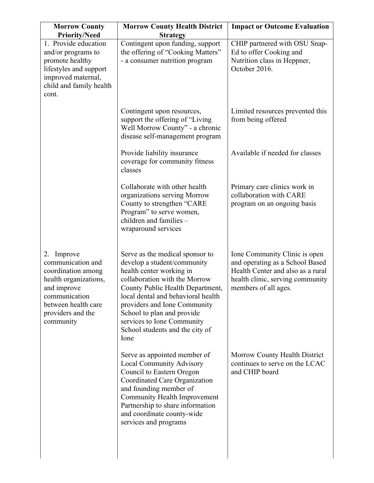| <b>Morrow County</b>                                                                                                                                                    | <b>Morrow County Health District</b>                                                                                                                                                                                                                                                                                                         | <b>Impact or Outcome Evaluation</b>                                                                                                                               |
|-------------------------------------------------------------------------------------------------------------------------------------------------------------------------|----------------------------------------------------------------------------------------------------------------------------------------------------------------------------------------------------------------------------------------------------------------------------------------------------------------------------------------------|-------------------------------------------------------------------------------------------------------------------------------------------------------------------|
| <b>Priority/Need</b>                                                                                                                                                    | <b>Strategy</b>                                                                                                                                                                                                                                                                                                                              |                                                                                                                                                                   |
| 1. Provide education<br>and/or programs to<br>promote healthy<br>lifestyles and support<br>improved maternal,<br>child and family health<br>cont.                       | Contingent upon funding, support<br>the offering of "Cooking Matters"<br>- a consumer nutrition program                                                                                                                                                                                                                                      | CHIP partnered with OSU Snap-<br>Ed to offer Cooking and<br>Nutrition class in Heppner,<br>October 2016.                                                          |
|                                                                                                                                                                         | Contingent upon resources,<br>support the offering of "Living"<br>Well Morrow County" - a chronic<br>disease self-management program                                                                                                                                                                                                         | Limited resources prevented this<br>from being offered                                                                                                            |
|                                                                                                                                                                         | Provide liability insurance<br>coverage for community fitness<br>classes                                                                                                                                                                                                                                                                     | Available if needed for classes                                                                                                                                   |
|                                                                                                                                                                         | Collaborate with other health<br>organizations serving Morrow<br>County to strengthen "CARE<br>Program" to serve women,<br>children and families -<br>wraparound services                                                                                                                                                                    | Primary care clinics work in<br>collaboration with CARE<br>program on an ongoing basis                                                                            |
| 2. Improve<br>communication and<br>coordination among<br>health organizations,<br>and improve<br>communication<br>between health care<br>providers and the<br>community | Serve as the medical sponsor to<br>develop a student/community<br>health center working in<br>collaboration with the Morrow<br>County Public Health Department,<br>local dental and behavioral health<br>providers and Ione Community<br>School to plan and provide<br>services to Ione Community<br>School students and the city of<br>Ione | Ione Community Clinic is open<br>and operating as a School Based<br>Health Center and also as a rural<br>health clinic, serving community<br>members of all ages. |
|                                                                                                                                                                         | Serve as appointed member of<br><b>Local Community Advisory</b><br>Council to Eastern Oregon<br>Coordinated Care Organization<br>and founding member of<br><b>Community Health Improvement</b><br>Partnership to share information<br>and coordinate county-wide<br>services and programs                                                    | Morrow County Health District<br>continues to serve on the LCAC<br>and CHIP board                                                                                 |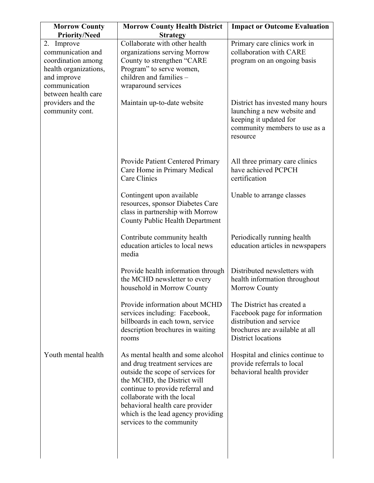| <b>Morrow County</b>                                                                                                    | <b>Morrow County Health District</b>                                                                                                                                                                                                                                                                             | <b>Impact or Outcome Evaluation</b>                                                                                                             |
|-------------------------------------------------------------------------------------------------------------------------|------------------------------------------------------------------------------------------------------------------------------------------------------------------------------------------------------------------------------------------------------------------------------------------------------------------|-------------------------------------------------------------------------------------------------------------------------------------------------|
| <b>Priority/Need</b><br>2. Improve                                                                                      | <b>Strategy</b><br>Collaborate with other health                                                                                                                                                                                                                                                                 | Primary care clinics work in                                                                                                                    |
| communication and<br>coordination among<br>health organizations,<br>and improve<br>communication<br>between health care | organizations serving Morrow<br>County to strengthen "CARE<br>Program" to serve women,<br>children and families -<br>wraparound services                                                                                                                                                                         | collaboration with CARE<br>program on an ongoing basis                                                                                          |
| providers and the<br>community cont.                                                                                    | Maintain up-to-date website                                                                                                                                                                                                                                                                                      | District has invested many hours<br>launching a new website and<br>keeping it updated for<br>community members to use as a<br>resource          |
|                                                                                                                         | Provide Patient Centered Primary<br>Care Home in Primary Medical<br>Care Clinics                                                                                                                                                                                                                                 | All three primary care clinics<br>have achieved PCPCH<br>certification                                                                          |
|                                                                                                                         | Contingent upon available<br>resources, sponsor Diabetes Care<br>class in partnership with Morrow<br>County Public Health Department                                                                                                                                                                             | Unable to arrange classes                                                                                                                       |
|                                                                                                                         | Contribute community health<br>education articles to local news<br>media                                                                                                                                                                                                                                         | Periodically running health<br>education articles in newspapers                                                                                 |
|                                                                                                                         | Provide health information through<br>the MCHD newsletter to every<br>household in Morrow County                                                                                                                                                                                                                 | Distributed newsletters with<br>health information throughout<br>Morrow County                                                                  |
|                                                                                                                         | Provide information about MCHD<br>services including: Facebook,<br>billboards in each town, service<br>description brochures in waiting<br>rooms                                                                                                                                                                 | The District has created a<br>Facebook page for information<br>distribution and service<br>brochures are available at all<br>District locations |
| Youth mental health                                                                                                     | As mental health and some alcohol<br>and drug treatment services are<br>outside the scope of services for<br>the MCHD, the District will<br>continue to provide referral and<br>collaborate with the local<br>behavioral health care provider<br>which is the lead agency providing<br>services to the community | Hospital and clinics continue to<br>provide referrals to local<br>behavioral health provider                                                    |